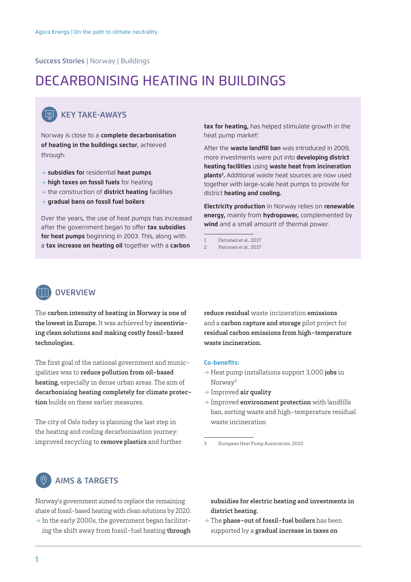Success Stories | Norway | Buildings

# DECARBONISING HEATING IN BUILDINGS



### KEY TAKE-AWAYS

Norway is close to a **complete decarbonisation of heating in the buildings sector**, achieved through:

- → **subsidies for** residential **heat pumps**
- → **high taxes on fossil fuels** for heating
- → the construction of **district heating** facilities
- → **gradual bans on fossil fuel boilers**

Over the years, the use of heat pumps has increased after the government began to offer **tax subsidies for heat pumps** beginning in 2003. This, along with a **tax increase on heating oil** together with a **carbon** 

**tax for heating,** has helped stimulate growth in the heat pump market<sup>1</sup>.

After the **waste landfill ban** was introduced in 2009, more investments were put into **developing district heating facilities** using **waste heat from incineration plants2 .** Additional waste heat sources are now used together with large-scale heat pumps to provide for district **heating and cooling.**

**Electricity production** in Norway relies on **renewable energy,** mainly from **hydropower,** complemented by **wind** and a small amount of thermal power.

- 1 Patronen et al., 2017
- 2 Patronen et al., 2017



# The carbon intensity of heating in Norway is one of

the lowest in Europe. It was achieved by incentivising clean solutions and making costly fossil-based technologies.

The first goal of the national government and municipalities was to reduce pollution from oil-based heating, especially in dense urban areas. The aim of decarbonising heating completely for climate protection builds on these earlier measures.

The city of Oslo today is planning the last step in the heating and cooling decarbonisation journey: improved recycling to remove plastics and further reduce residual waste incineration emissions and a carbon capture and storage pilot project for residual carbon emissions from high-temperature waste incineration.

#### **Co-benefits:**

- $\rightarrow$  Heat pump installations support 3,000 jobs in Norway3
- $\rightarrow$  Improved air quality
- $\rightarrow$  Improved **environment protection** with landfills ban, sorting waste and high-temperature residual waste incineration

3 European Heat Pump Association, 2020

## AIMS & TARGETS

Norway's government aimed to replace the remaining share of fossil-based heating with clean solutions by 2020.

 $\rightarrow$  In the early 2000s, the government began facilitating the shift away from fossil-fuel heating through subsidies for electric heating and investments in district heating.

 $\rightarrow$  The phase-out of fossil-fuel boilers has been supported by a gradual increase in taxes on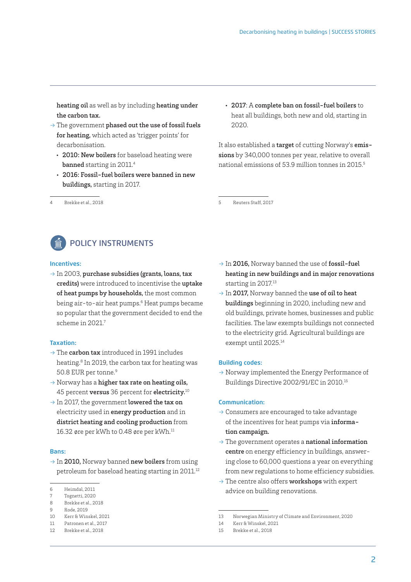heating oil as well as by including heating under the carbon tax.

- $\rightarrow$  The government phased out the use of fossil fuels for heating, which acted as 'trigger points' for decarbonisation.
	- 2010: New boilers for baseload heating were banned starting in 2011.4
	- 2016: Fossil-fuel boilers were banned in new buildings, starting in 2017.
- 4 Brekke et al., 2018

• 2017: A complete ban on fossil-fuel boilers to heat all buildings, both new and old, starting in 2020.

It also established a target of cutting Norway's emissions by 340,000 tonnes per year, relative to overall national emissions of 53.9 million tonnes in 2015.5

5 Reuters Staff, 2017



#### **Incentives:**

 $\rightarrow$  In 2003, purchase subsidies (grants, loans, tax credits) were introduced to incentivise the uptake of heat pumps by households, the most common being air-to-air heat pumps.<sup>6</sup> Heat pumps became so popular that the government decided to end the scheme in 2021.7

#### **Taxation:**

- $\rightarrow$  The carbon tax introduced in 1991 includes heating.8 In 2019, the carbon tax for heating was 50.8 EUR per tonne.9
- $\rightarrow$  Norway has a higher tax rate on heating oils, 45 percent versus 36 percent for electricity.<sup>10</sup>
- $\rightarrow$  In 2017, the government lowered the tax on electricity used in energy production and in district heating and cooling production from 16.32 øre per kWh to 0.48 øre per kWh.<sup>11</sup>

#### **Bans:**

 $\rightarrow$  In 2010, Norway banned new boilers from using petroleum for baseload heating starting in 2011.<sup>12</sup>

- 9 Rode, 2019
- 10 Kerr & Winskel, 2021

12 Brekke et al., 2018

- $\rightarrow$  In 2016, Norway banned the use of fossil-fuel heating in new buildings and in major renovations starting in 2017.<sup>13</sup>
- $\rightarrow$  In 2017, Norway banned the use of oil to heat buildings beginning in 2020, including new and old buildings, private homes, businesses and public facilities. The law exempts buildings not connected to the electricity grid. Agricultural buildings are exempt until 2025.14

#### **Building codes:**

→ Norway implemented the Energy Performance of Buildings Directive 2002/91/EC in 2010.15

#### **Communication:**

- $\rightarrow$  Consumers are encouraged to take advantage of the incentives for heat pumps via information campaign.
- $\rightarrow$  The government operates a national information centre on energy efficiency in buildings, answering close to 60,000 questions a year on everything from new regulations to home efficiency subsidies.
- $\rightarrow$  The centre also offers workshops with expert advice on building renovations.

<sup>6</sup> Heimdal, 2011

<sup>7</sup> Tognetti 2020

<sup>8</sup> Brekke et al., 2018

<sup>11</sup> Patronen et al., 2017

<sup>13</sup> Norwegian Ministry of Climate and Environment, 2020

<sup>14</sup> Kerr & Winskel, 2021

<sup>15</sup> Brekke et al., 2018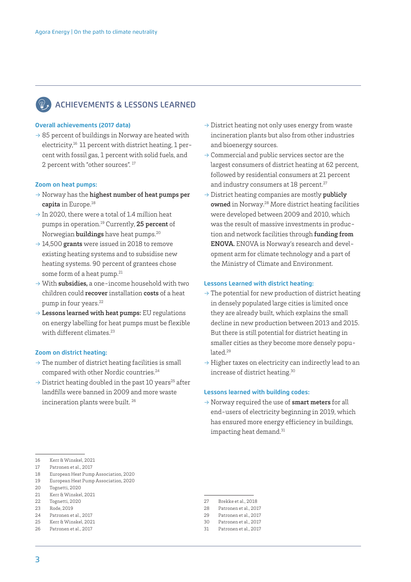# ACHIEVEMENTS & LESSONS LEARNED

#### **Overall achievements (2017 data)**

 $\rightarrow$  85 percent of buildings in Norway are heated with electricity,<sup>16</sup> 11 percent with district heating, 1 percent with fossil gas, 1 percent with solid fuels, and 2 percent with "other sources". 17

#### **Zoom on heat pumps:**

- $\rightarrow$  Norway has the highest number of heat pumps per capita in Europe.<sup>18</sup>
- $\rightarrow$  In 2020, there were a total of 1.4 million heat pumps in operation.19 Currently, 25 percent of Norwegian buildings have heat pumps.20
- $\rightarrow$  14,500 grants were issued in 2018 to remove existing heating systems and to subsidise new heating systems. 90 percent of grantees chose some form of a heat pump.<sup>21</sup>
- $\rightarrow$  With subsidies, a one-income household with two children could recover installation costs of a heat pump in four years.<sup>22</sup>
- $\rightarrow$  Lessons learned with heat pumps: EU regulations on energy labelling for heat pumps must be flexible with different climates.<sup>23</sup>

#### **Zoom on district heating:**

- $\rightarrow$  The number of district heating facilities is small compared with other Nordic countries.<sup>24</sup>
- $\rightarrow$  District heating doubled in the past 10 years<sup>25</sup> after landfills were banned in 2009 and more waste incineration plants were built. 26
- $\rightarrow$  District heating not only uses energy from waste incineration plants but also from other industries and bioenergy sources.
- $\rightarrow$  Commercial and public services sector are the largest consumers of district heating at 62 percent, followed by residential consumers at 21 percent and industry consumers at 18 percent.<sup>27</sup>
- $\rightarrow$  District heating companies are mostly **publicly** owned in Norway.28 More district heating facilities were developed between 2009 and 2010, which was the result of massive investments in production and network facilities through funding from ENOVA. ENOVA is Norway's research and development arm for climate technology and a part of the Ministry of Climate and Environment.

#### **Lessons Learned with district heating:**

- $\rightarrow$  The potential for new production of district heating in densely populated large cities is limited once they are already built, which explains the small decline in new production between 2013 and 2015. But there is still potential for district heating in smaller cities as they become more densely populated.<sup>29</sup>
- $\rightarrow$  Higher taxes on electricity can indirectly lead to an increase of district heating.30

#### **Lessons learned with building codes:**

 $\rightarrow$  Norway required the use of smart meters for all end-users of electricity beginning in 2019, which has ensured more energy efficiency in buildings, impacting heat demand.<sup>31</sup>

- 17 Patronen et al., 2017
- 18 European Heat Pump Association, 2020 19 European Heat Pump Association, 2020
- 20 Tognetti, 2020
- 
- 21 Kerr & Winskel, 2021 22 Tognetti, 2020
- 23 Rode, 2019
- 24 Patronen et al., 2017
- 25 Kerr & Winskel, 2021
- 26 Patronen et al., 2017
- 27 Brekke et al., 2018
- 28 Patronen et al., 2017
- 29 Patronen et al. 2017
- 30 Patronen et al., 2017
- 31 Patronen et al., 2017

<sup>16</sup> Kerr & Winskel, 2021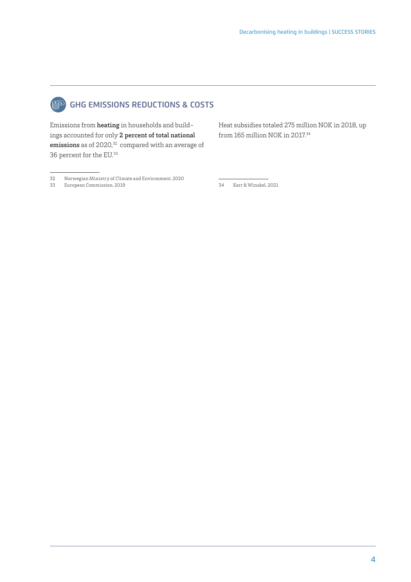

# GHG EMISSIONS REDUCTIONS & COSTS

Emissions from heating in households and buildings accounted for only 2 percent of total national emissions as of 2020,<sup>32</sup> compared with an average of 36 percent for the EU.33

Heat subsidies totaled 275 million NOK in 2018, up from 165 million NOK in 2017.34

- 32 Norwegian Ministry of Climate and Environment, 2020
- European Commission, 2019

34 Kerr & Winskel, 2021